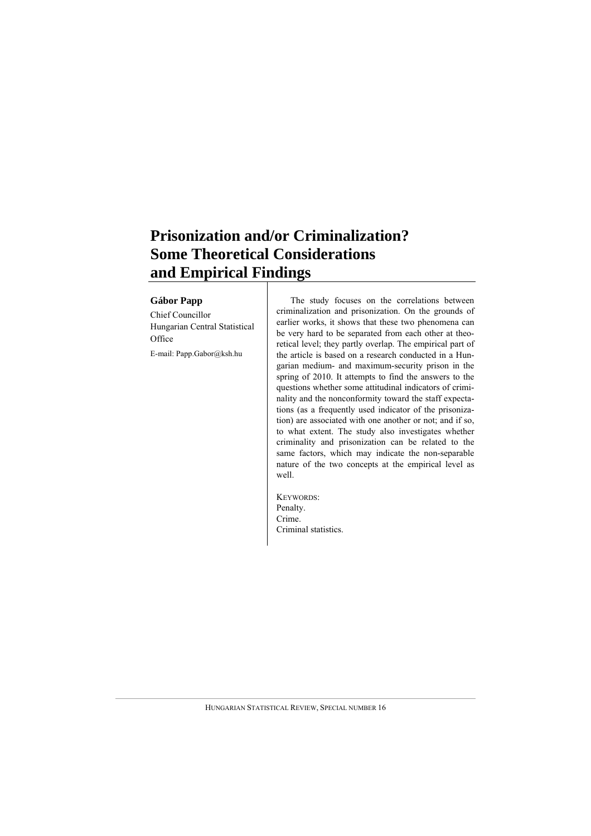# **Prisonization and/or Criminalization? Some Theoretical Considerations and Empirical Findings**

#### **Gábor Papp**

Chief Councillor Hungarian Central Statistical **Office** 

E-mail: Papp.Gabor@ksh.hu

The study focuses on the correlations between criminalization and prisonization. On the grounds of earlier works, it shows that these two phenomena can be very hard to be separated from each other at theoretical level; they partly overlap. The empirical part of the article is based on a research conducted in a Hungarian medium- and maximum-security prison in the spring of 2010. It attempts to find the answers to the questions whether some attitudinal indicators of criminality and the nonconformity toward the staff expectations (as a frequently used indicator of the prisonization) are associated with one another or not; and if so, to what extent. The study also investigates whether criminality and prisonization can be related to the same factors, which may indicate the non-separable nature of the two concepts at the empirical level as well.

KEYWORDS: Penalty. Crime. Criminal statistics.

HUNGARIAN STATISTICAL REVIEW, SPECIAL NUMBER 16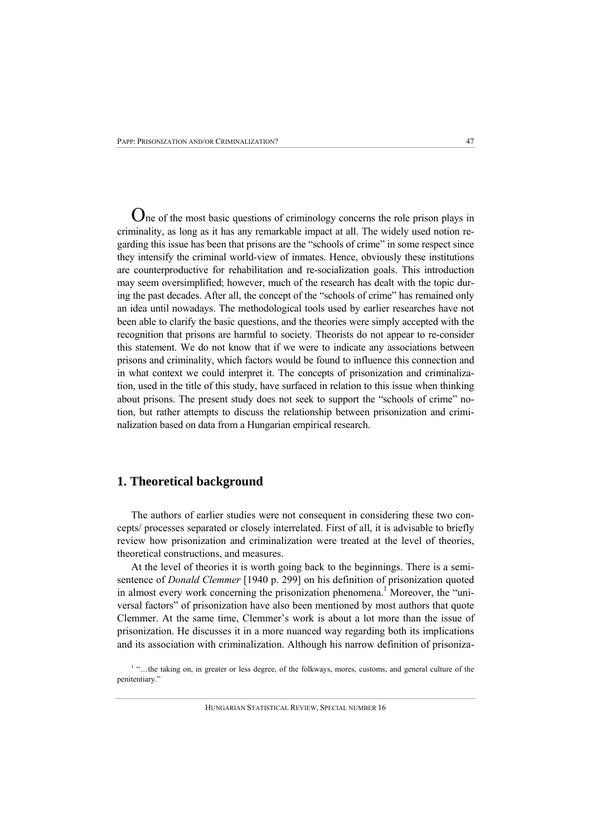One of the most basic questions of criminology concerns the role prison plays in criminality, as long as it has any remarkable impact at all. The widely used notion regarding this issue has been that prisons are the "schools of crime" in some respect since they intensify the criminal world-view of inmates. Hence, obviously these institutions are counterproductive for rehabilitation and re-socialization goals. This introduction may seem oversimplified; however, much of the research has dealt with the topic during the past decades. After all, the concept of the "schools of crime" has remained only an idea until nowadays. The methodological tools used by earlier researches have not been able to clarify the basic questions, and the theories were simply accepted with the recognition that prisons are harmful to society. Theorists do not appear to re-consider this statement. We do not know that if we were to indicate any associations between prisons and criminality, which factors would be found to influence this connection and in what context we could interpret it. The concepts of prisonization and criminalization, used in the title of this study, have surfaced in relation to this issue when thinking about prisons. The present study does not seek to support the "schools of crime" notion, but rather attempts to discuss the relationship between prisonization and criminalization based on data from a Hungarian empirical research.

# **1. Theoretical background**

The authors of earlier studies were not consequent in considering these two concepts/ processes separated or closely interrelated. First of all, it is advisable to briefly review how prisonization and criminalization were treated at the level of theories, theoretical constructions, and measures.

At the level of theories it is worth going back to the beginnings. There is a semisentence of *Donald Clemmer* [1940 p. 299] on his definition of prisonization quoted in almost every work concerning the prisonization phenomena.<sup>1</sup> Moreover, the "universal factors" of prisonization have also been mentioned by most authors that quote Clemmer. At the same time, Clemmer's work is about a lot more than the issue of prisonization. He discusses it in a more nuanced way regarding both its implications and its association with criminalization. Although his narrow definition of prisoniza-

<sup>1</sup> "...the taking on, in greater or less degree, of the folkways, mores, customs, and general culture of the penitentiary."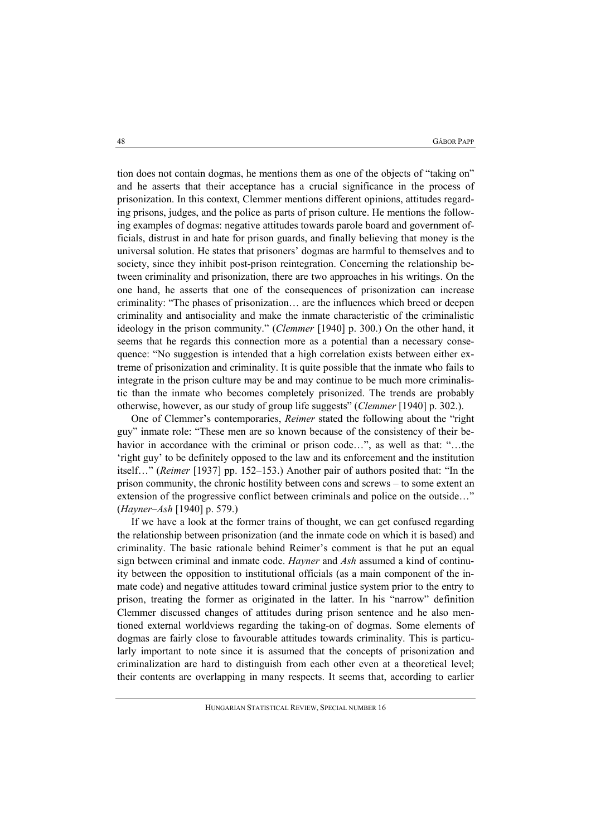tion does not contain dogmas, he mentions them as one of the objects of "taking on" and he asserts that their acceptance has a crucial significance in the process of prisonization. In this context, Clemmer mentions different opinions, attitudes regarding prisons, judges, and the police as parts of prison culture. He mentions the following examples of dogmas: negative attitudes towards parole board and government officials, distrust in and hate for prison guards, and finally believing that money is the universal solution. He states that prisoners' dogmas are harmful to themselves and to society, since they inhibit post-prison reintegration. Concerning the relationship between criminality and prisonization, there are two approaches in his writings. On the one hand, he asserts that one of the consequences of prisonization can increase criminality: "The phases of prisonization… are the influences which breed or deepen criminality and antisociality and make the inmate characteristic of the criminalistic ideology in the prison community." (*Clemmer* [1940] p. 300.) On the other hand, it seems that he regards this connection more as a potential than a necessary consequence: "No suggestion is intended that a high correlation exists between either extreme of prisonization and criminality. It is quite possible that the inmate who fails to integrate in the prison culture may be and may continue to be much more criminalistic than the inmate who becomes completely prisonized. The trends are probably otherwise, however, as our study of group life suggests" (*Clemmer* [1940] p. 302.).

One of Clemmer's contemporaries, *Reimer* stated the following about the "right guy" inmate role: "These men are so known because of the consistency of their behavior in accordance with the criminal or prison code...", as well as that: "...the 'right guy' to be definitely opposed to the law and its enforcement and the institution itself…" (*Reimer* [1937] pp. 152–153.) Another pair of authors posited that: "In the prison community, the chronic hostility between cons and screws – to some extent an extension of the progressive conflict between criminals and police on the outside…" (*Hayner–Ash* [1940] p. 579.)

If we have a look at the former trains of thought, we can get confused regarding the relationship between prisonization (and the inmate code on which it is based) and criminality. The basic rationale behind Reimer's comment is that he put an equal sign between criminal and inmate code. *Hayner* and *Ash* assumed a kind of continuity between the opposition to institutional officials (as a main component of the inmate code) and negative attitudes toward criminal justice system prior to the entry to prison, treating the former as originated in the latter. In his "narrow" definition Clemmer discussed changes of attitudes during prison sentence and he also mentioned external worldviews regarding the taking-on of dogmas. Some elements of dogmas are fairly close to favourable attitudes towards criminality. This is particularly important to note since it is assumed that the concepts of prisonization and criminalization are hard to distinguish from each other even at a theoretical level; their contents are overlapping in many respects. It seems that, according to earlier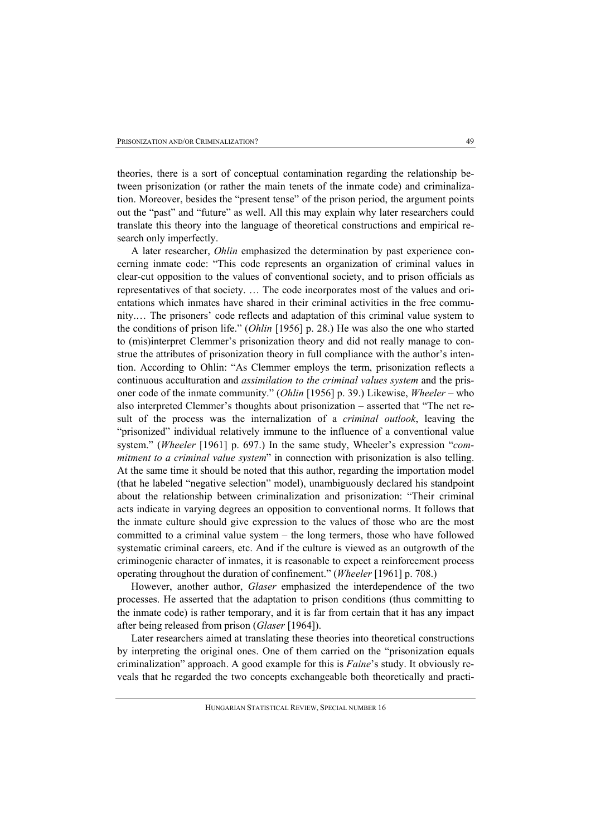theories, there is a sort of conceptual contamination regarding the relationship between prisonization (or rather the main tenets of the inmate code) and criminalization. Moreover, besides the "present tense" of the prison period, the argument points out the "past" and "future" as well. All this may explain why later researchers could translate this theory into the language of theoretical constructions and empirical research only imperfectly.

A later researcher, *Ohlin* emphasized the determination by past experience concerning inmate code: "This code represents an organization of criminal values in clear-cut opposition to the values of conventional society, and to prison officials as representatives of that society. … The code incorporates most of the values and orientations which inmates have shared in their criminal activities in the free community.… The prisoners' code reflects and adaptation of this criminal value system to the conditions of prison life." (*Ohlin* [1956] p. 28.) He was also the one who started to (mis)interpret Clemmer's prisonization theory and did not really manage to construe the attributes of prisonization theory in full compliance with the author's intention. According to Ohlin: "As Clemmer employs the term, prisonization reflects a continuous acculturation and *assimilation to the criminal values system* and the prisoner code of the inmate community." (*Ohlin* [1956] p. 39.) Likewise, *Wheeler* – who also interpreted Clemmer's thoughts about prisonization – asserted that "The net result of the process was the internalization of a *criminal outlook*, leaving the "prisonized" individual relatively immune to the influence of a conventional value system." (*Wheeler* [1961] p. 697.) In the same study, Wheeler's expression "*commitment to a criminal value system*" in connection with prisonization is also telling. At the same time it should be noted that this author, regarding the importation model (that he labeled "negative selection" model), unambiguously declared his standpoint about the relationship between criminalization and prisonization: "Their criminal acts indicate in varying degrees an opposition to conventional norms. It follows that the inmate culture should give expression to the values of those who are the most committed to a criminal value system – the long termers, those who have followed systematic criminal careers, etc. And if the culture is viewed as an outgrowth of the criminogenic character of inmates, it is reasonable to expect a reinforcement process operating throughout the duration of confinement." (*Wheeler* [1961] p. 708.)

However, another author, *Glaser* emphasized the interdependence of the two processes. He asserted that the adaptation to prison conditions (thus committing to the inmate code) is rather temporary, and it is far from certain that it has any impact after being released from prison (*Glaser* [1964]).

Later researchers aimed at translating these theories into theoretical constructions by interpreting the original ones. One of them carried on the "prisonization equals criminalization" approach. A good example for this is *Faine*'s study. It obviously reveals that he regarded the two concepts exchangeable both theoretically and practi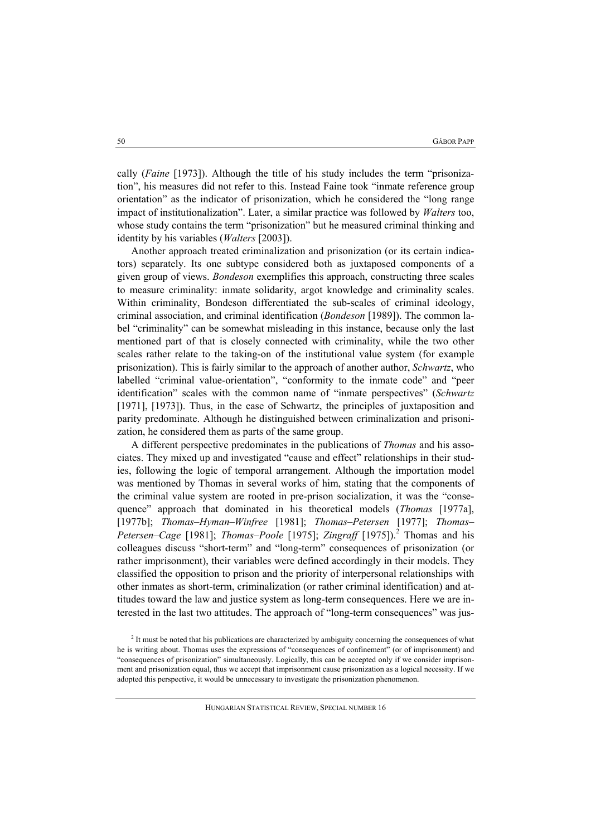cally (*Faine* [1973]). Although the title of his study includes the term "prisonization", his measures did not refer to this. Instead Faine took "inmate reference group orientation" as the indicator of prisonization, which he considered the "long range impact of institutionalization". Later, a similar practice was followed by *Walters* too, whose study contains the term "prisonization" but he measured criminal thinking and identity by his variables (*Walters* [2003]).

Another approach treated criminalization and prisonization (or its certain indicators) separately. Its one subtype considered both as juxtaposed components of a given group of views. *Bondeson* exemplifies this approach, constructing three scales to measure criminality: inmate solidarity, argot knowledge and criminality scales. Within criminality, Bondeson differentiated the sub-scales of criminal ideology, criminal association, and criminal identification (*Bondeson* [1989]). The common label "criminality" can be somewhat misleading in this instance, because only the last mentioned part of that is closely connected with criminality, while the two other scales rather relate to the taking-on of the institutional value system (for example prisonization). This is fairly similar to the approach of another author, *Schwartz*, who labelled "criminal value-orientation", "conformity to the inmate code" and "peer identification" scales with the common name of "inmate perspectives" (*Schwartz* [1971], [1973]). Thus, in the case of Schwartz, the principles of juxtaposition and parity predominate. Although he distinguished between criminalization and prisonization, he considered them as parts of the same group.

A different perspective predominates in the publications of *Thomas* and his associates. They mixed up and investigated "cause and effect" relationships in their studies, following the logic of temporal arrangement. Although the importation model was mentioned by Thomas in several works of him, stating that the components of the criminal value system are rooted in pre-prison socialization, it was the "consequence" approach that dominated in his theoretical models (*Thomas* [1977a], [1977b]; *Thomas–Hyman–Winfree* [1981]; *Thomas–Petersen* [1977]; *Thomas– Petersen–Cage* [1981]; *Thomas–Poole* [1975]; *Zingraff* [1975]).<sup>2</sup> Thomas and his colleagues discuss "short-term" and "long-term" consequences of prisonization (or rather imprisonment), their variables were defined accordingly in their models. They classified the opposition to prison and the priority of interpersonal relationships with other inmates as short-term, criminalization (or rather criminal identification) and attitudes toward the law and justice system as long-term consequences. Here we are interested in the last two attitudes. The approach of "long-term consequences" was jus-

<sup>&</sup>lt;sup>2</sup> It must be noted that his publications are characterized by ambiguity concerning the consequences of what he is writing about. Thomas uses the expressions of "consequences of confinement" (or of imprisonment) and "consequences of prisonization" simultaneously. Logically, this can be accepted only if we consider imprisonment and prisonization equal, thus we accept that imprisonment cause prisonization as a logical necessity. If we adopted this perspective, it would be unnecessary to investigate the prisonization phenomenon.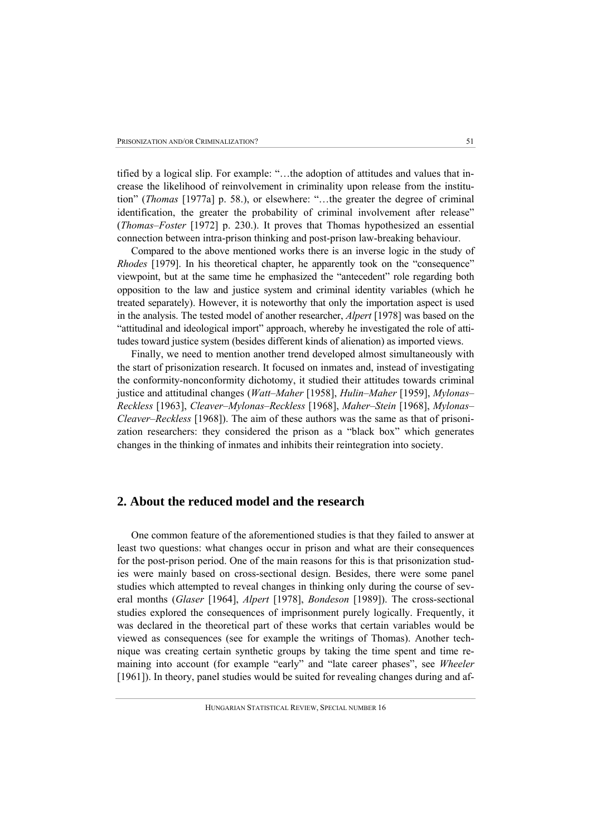tified by a logical slip. For example: "…the adoption of attitudes and values that increase the likelihood of reinvolvement in criminality upon release from the institution" (*Thomas* [1977a] p. 58.), or elsewhere: "…the greater the degree of criminal identification, the greater the probability of criminal involvement after release" (*Thomas–Foster* [1972] p. 230.). It proves that Thomas hypothesized an essential connection between intra-prison thinking and post-prison law-breaking behaviour.

Compared to the above mentioned works there is an inverse logic in the study of *Rhodes* [1979]. In his theoretical chapter, he apparently took on the "consequence" viewpoint, but at the same time he emphasized the "antecedent" role regarding both opposition to the law and justice system and criminal identity variables (which he treated separately). However, it is noteworthy that only the importation aspect is used in the analysis. The tested model of another researcher, *Alpert* [1978] was based on the "attitudinal and ideological import" approach, whereby he investigated the role of attitudes toward justice system (besides different kinds of alienation) as imported views.

Finally, we need to mention another trend developed almost simultaneously with the start of prisonization research. It focused on inmates and, instead of investigating the conformity-nonconformity dichotomy, it studied their attitudes towards criminal justice and attitudinal changes (*Watt–Maher* [1958], *Hulin–Maher* [1959], *Mylonas– Reckless* [1963], *Cleaver–Mylonas–Reckless* [1968], *Maher–Stein* [1968], *Mylonas– Cleaver–Reckless* [1968]). The aim of these authors was the same as that of prisonization researchers: they considered the prison as a "black box" which generates changes in the thinking of inmates and inhibits their reintegration into society.

## **2. About the reduced model and the research**

One common feature of the aforementioned studies is that they failed to answer at least two questions: what changes occur in prison and what are their consequences for the post-prison period. One of the main reasons for this is that prisonization studies were mainly based on cross-sectional design. Besides, there were some panel studies which attempted to reveal changes in thinking only during the course of several months (*Glaser* [1964], *Alpert* [1978], *Bondeson* [1989]). The cross-sectional studies explored the consequences of imprisonment purely logically. Frequently, it was declared in the theoretical part of these works that certain variables would be viewed as consequences (see for example the writings of Thomas). Another technique was creating certain synthetic groups by taking the time spent and time remaining into account (for example "early" and "late career phases", see *Wheeler* [1961]). In theory, panel studies would be suited for revealing changes during and af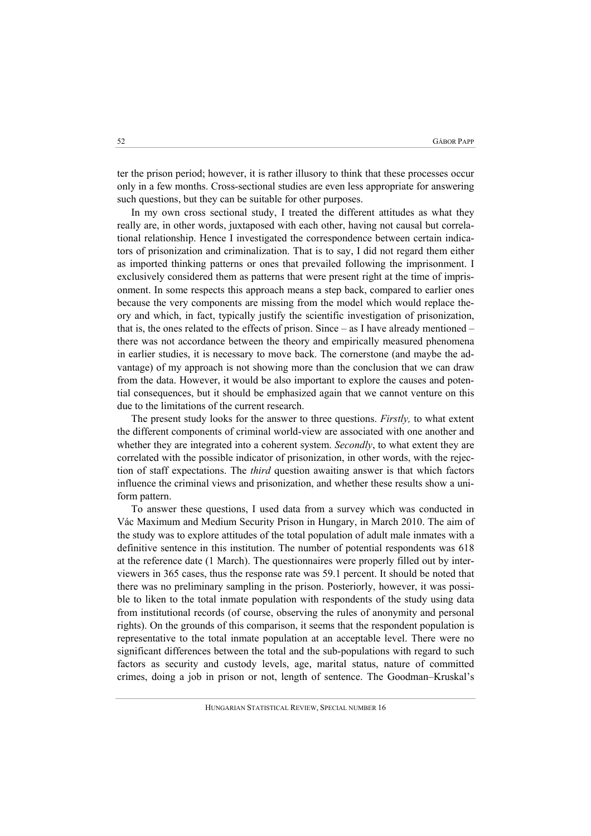ter the prison period; however, it is rather illusory to think that these processes occur only in a few months. Cross-sectional studies are even less appropriate for answering such questions, but they can be suitable for other purposes.

In my own cross sectional study, I treated the different attitudes as what they really are, in other words, juxtaposed with each other, having not causal but correlational relationship. Hence I investigated the correspondence between certain indicators of prisonization and criminalization. That is to say, I did not regard them either as imported thinking patterns or ones that prevailed following the imprisonment. I exclusively considered them as patterns that were present right at the time of imprisonment. In some respects this approach means a step back, compared to earlier ones because the very components are missing from the model which would replace theory and which, in fact, typically justify the scientific investigation of prisonization, that is, the ones related to the effects of prison. Since – as I have already mentioned – there was not accordance between the theory and empirically measured phenomena in earlier studies, it is necessary to move back. The cornerstone (and maybe the advantage) of my approach is not showing more than the conclusion that we can draw from the data. However, it would be also important to explore the causes and potential consequences, but it should be emphasized again that we cannot venture on this due to the limitations of the current research.

The present study looks for the answer to three questions. *Firstly,* to what extent the different components of criminal world-view are associated with one another and whether they are integrated into a coherent system. *Secondly*, to what extent they are correlated with the possible indicator of prisonization, in other words, with the rejection of staff expectations. The *third* question awaiting answer is that which factors influence the criminal views and prisonization, and whether these results show a uniform pattern.

To answer these questions, I used data from a survey which was conducted in Vác Maximum and Medium Security Prison in Hungary, in March 2010. The aim of the study was to explore attitudes of the total population of adult male inmates with a definitive sentence in this institution. The number of potential respondents was 618 at the reference date (1 March). The questionnaires were properly filled out by interviewers in 365 cases, thus the response rate was 59.1 percent. It should be noted that there was no preliminary sampling in the prison. Posteriorly, however, it was possible to liken to the total inmate population with respondents of the study using data from institutional records (of course, observing the rules of anonymity and personal rights). On the grounds of this comparison, it seems that the respondent population is representative to the total inmate population at an acceptable level. There were no significant differences between the total and the sub-populations with regard to such factors as security and custody levels, age, marital status, nature of committed crimes, doing a job in prison or not, length of sentence. The Goodman–Kruskal's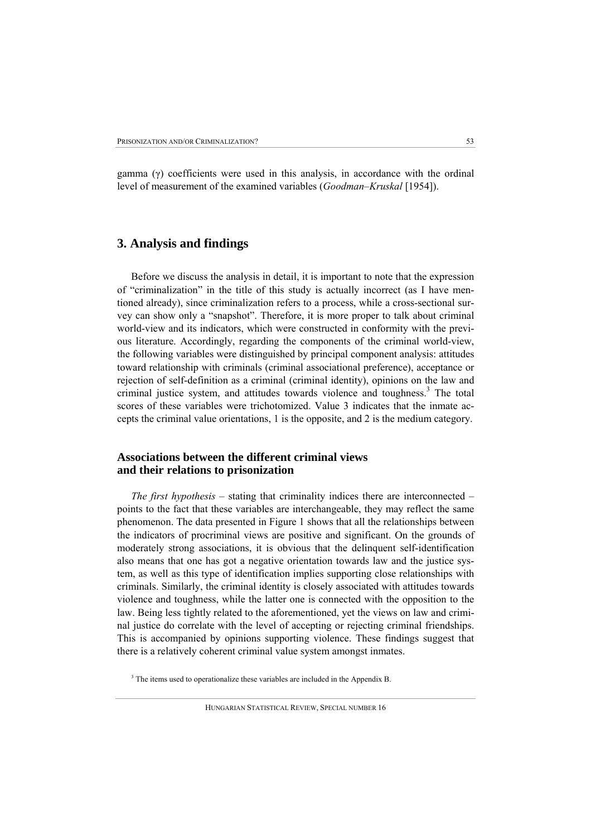gamma (γ) coefficients were used in this analysis, in accordance with the ordinal level of measurement of the examined variables (*Goodman–Kruskal* [1954]).

# **3. Analysis and findings**

Before we discuss the analysis in detail, it is important to note that the expression of "criminalization" in the title of this study is actually incorrect (as I have mentioned already), since criminalization refers to a process, while a cross-sectional survey can show only a "snapshot". Therefore, it is more proper to talk about criminal world-view and its indicators, which were constructed in conformity with the previous literature. Accordingly, regarding the components of the criminal world-view, the following variables were distinguished by principal component analysis: attitudes toward relationship with criminals (criminal associational preference), acceptance or rejection of self-definition as a criminal (criminal identity), opinions on the law and criminal justice system, and attitudes towards violence and toughness.<sup>3</sup> The total scores of these variables were trichotomized. Value 3 indicates that the inmate accepts the criminal value orientations, 1 is the opposite, and 2 is the medium category.

## **Associations between the different criminal views and their relations to prisonization**

*The first hypothesis* – stating that criminality indices there are interconnected – points to the fact that these variables are interchangeable, they may reflect the same phenomenon. The data presented in Figure 1 shows that all the relationships between the indicators of procriminal views are positive and significant. On the grounds of moderately strong associations, it is obvious that the delinquent self-identification also means that one has got a negative orientation towards law and the justice system, as well as this type of identification implies supporting close relationships with criminals. Similarly, the criminal identity is closely associated with attitudes towards violence and toughness, while the latter one is connected with the opposition to the law. Being less tightly related to the aforementioned, yet the views on law and criminal justice do correlate with the level of accepting or rejecting criminal friendships. This is accompanied by opinions supporting violence. These findings suggest that there is a relatively coherent criminal value system amongst inmates.

<sup>3</sup> The items used to operationalize these variables are included in the Appendix B.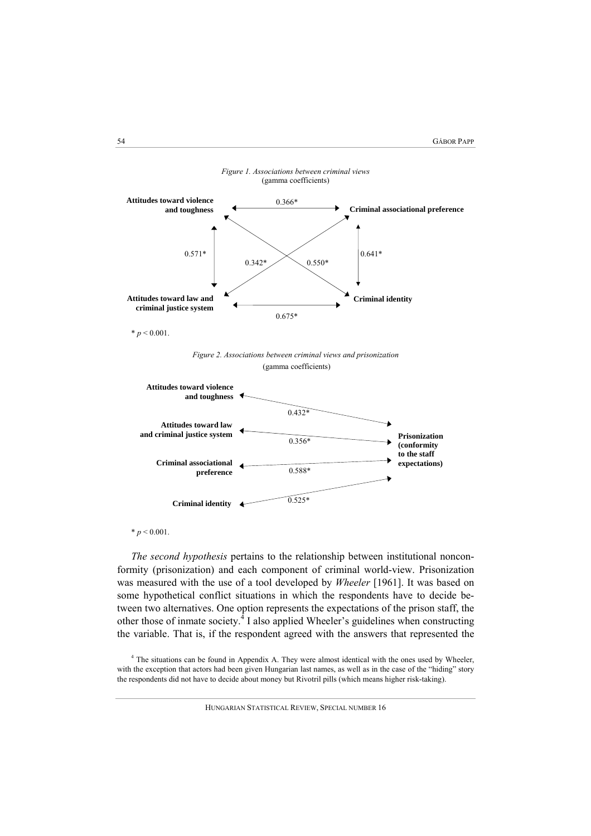

 $* p < 0.001$ .

*The second hypothesis* pertains to the relationship between institutional nonconformity (prisonization) and each component of criminal world-view. Prisonization was measured with the use of a tool developed by *Wheeler* [1961]. It was based on some hypothetical conflict situations in which the respondents have to decide between two alternatives. One option represents the expectations of the prison staff, the other those of inmate society. $^{4}$  I also applied Wheeler's guidelines when constructing the variable. That is, if the respondent agreed with the answers that represented the

4 The situations can be found in Appendix A. They were almost identical with the ones used by Wheeler, with the exception that actors had been given Hungarian last names, as well as in the case of the "hiding" story the respondents did not have to decide about money but Rivotril pills (which means higher risk-taking).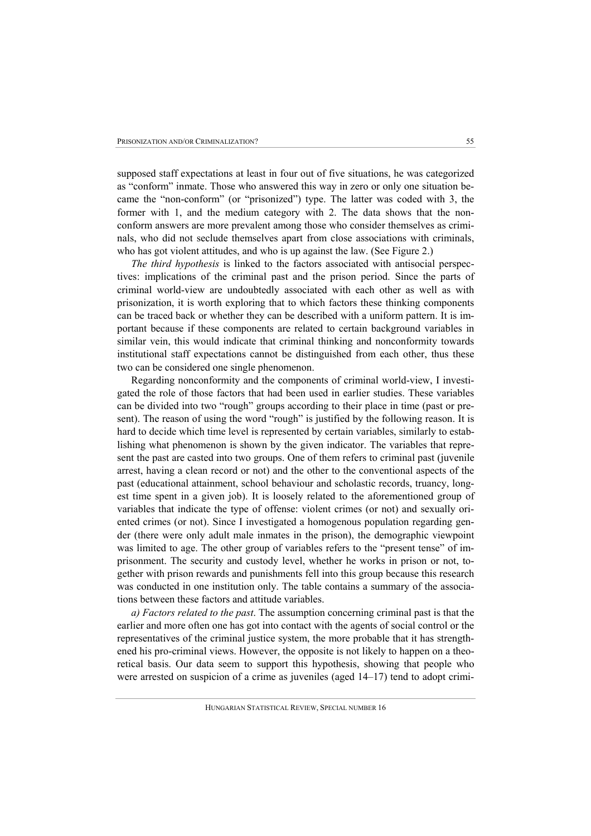supposed staff expectations at least in four out of five situations, he was categorized as "conform" inmate. Those who answered this way in zero or only one situation became the "non-conform" (or "prisonized") type. The latter was coded with 3, the former with 1, and the medium category with 2. The data shows that the nonconform answers are more prevalent among those who consider themselves as criminals, who did not seclude themselves apart from close associations with criminals, who has got violent attitudes, and who is up against the law. (See Figure 2.)

*The third hypothesis* is linked to the factors associated with antisocial perspectives: implications of the criminal past and the prison period. Since the parts of criminal world-view are undoubtedly associated with each other as well as with prisonization, it is worth exploring that to which factors these thinking components can be traced back or whether they can be described with a uniform pattern. It is important because if these components are related to certain background variables in similar vein, this would indicate that criminal thinking and nonconformity towards institutional staff expectations cannot be distinguished from each other, thus these two can be considered one single phenomenon.

Regarding nonconformity and the components of criminal world-view, I investigated the role of those factors that had been used in earlier studies. These variables can be divided into two "rough" groups according to their place in time (past or present). The reason of using the word "rough" is justified by the following reason. It is hard to decide which time level is represented by certain variables, similarly to establishing what phenomenon is shown by the given indicator. The variables that represent the past are casted into two groups. One of them refers to criminal past (juvenile arrest, having a clean record or not) and the other to the conventional aspects of the past (educational attainment, school behaviour and scholastic records, truancy, longest time spent in a given job). It is loosely related to the aforementioned group of variables that indicate the type of offense: violent crimes (or not) and sexually oriented crimes (or not). Since I investigated a homogenous population regarding gender (there were only adult male inmates in the prison), the demographic viewpoint was limited to age. The other group of variables refers to the "present tense" of imprisonment. The security and custody level, whether he works in prison or not, together with prison rewards and punishments fell into this group because this research was conducted in one institution only. The table contains a summary of the associations between these factors and attitude variables.

*a) Factors related to the past*. The assumption concerning criminal past is that the earlier and more often one has got into contact with the agents of social control or the representatives of the criminal justice system, the more probable that it has strengthened his pro-criminal views. However, the opposite is not likely to happen on a theoretical basis. Our data seem to support this hypothesis, showing that people who were arrested on suspicion of a crime as juveniles (aged 14–17) tend to adopt crimi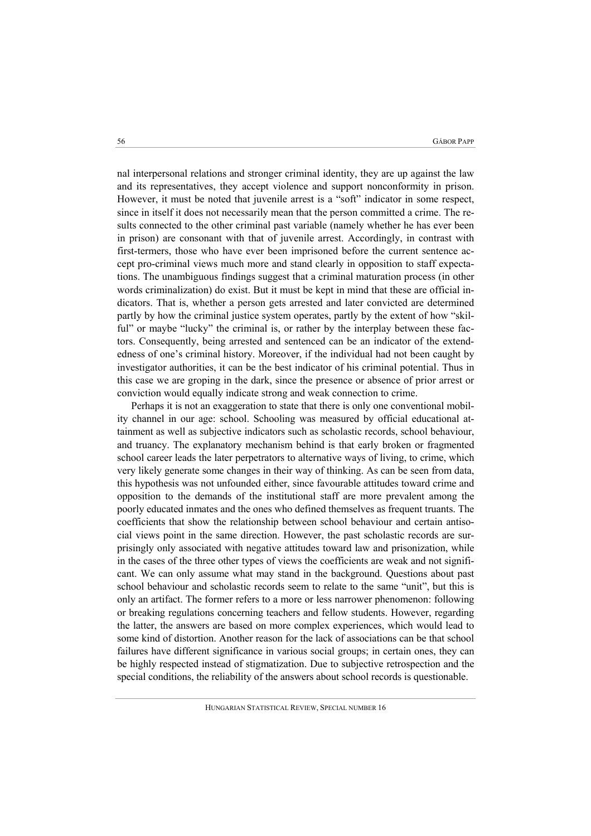nal interpersonal relations and stronger criminal identity, they are up against the law and its representatives, they accept violence and support nonconformity in prison. However, it must be noted that juvenile arrest is a "soft" indicator in some respect, since in itself it does not necessarily mean that the person committed a crime. The results connected to the other criminal past variable (namely whether he has ever been in prison) are consonant with that of juvenile arrest. Accordingly, in contrast with first-termers, those who have ever been imprisoned before the current sentence accept pro-criminal views much more and stand clearly in opposition to staff expectations. The unambiguous findings suggest that a criminal maturation process (in other words criminalization) do exist. But it must be kept in mind that these are official indicators. That is, whether a person gets arrested and later convicted are determined partly by how the criminal justice system operates, partly by the extent of how "skilful" or maybe "lucky" the criminal is, or rather by the interplay between these factors. Consequently, being arrested and sentenced can be an indicator of the extendedness of one's criminal history. Moreover, if the individual had not been caught by investigator authorities, it can be the best indicator of his criminal potential. Thus in this case we are groping in the dark, since the presence or absence of prior arrest or conviction would equally indicate strong and weak connection to crime.

Perhaps it is not an exaggeration to state that there is only one conventional mobility channel in our age: school. Schooling was measured by official educational attainment as well as subjective indicators such as scholastic records, school behaviour, and truancy. The explanatory mechanism behind is that early broken or fragmented school career leads the later perpetrators to alternative ways of living, to crime, which very likely generate some changes in their way of thinking. As can be seen from data, this hypothesis was not unfounded either, since favourable attitudes toward crime and opposition to the demands of the institutional staff are more prevalent among the poorly educated inmates and the ones who defined themselves as frequent truants. The coefficients that show the relationship between school behaviour and certain antisocial views point in the same direction. However, the past scholastic records are surprisingly only associated with negative attitudes toward law and prisonization, while in the cases of the three other types of views the coefficients are weak and not significant. We can only assume what may stand in the background. Questions about past school behaviour and scholastic records seem to relate to the same "unit", but this is only an artifact. The former refers to a more or less narrower phenomenon: following or breaking regulations concerning teachers and fellow students. However, regarding the latter, the answers are based on more complex experiences, which would lead to some kind of distortion. Another reason for the lack of associations can be that school failures have different significance in various social groups; in certain ones, they can be highly respected instead of stigmatization. Due to subjective retrospection and the special conditions, the reliability of the answers about school records is questionable.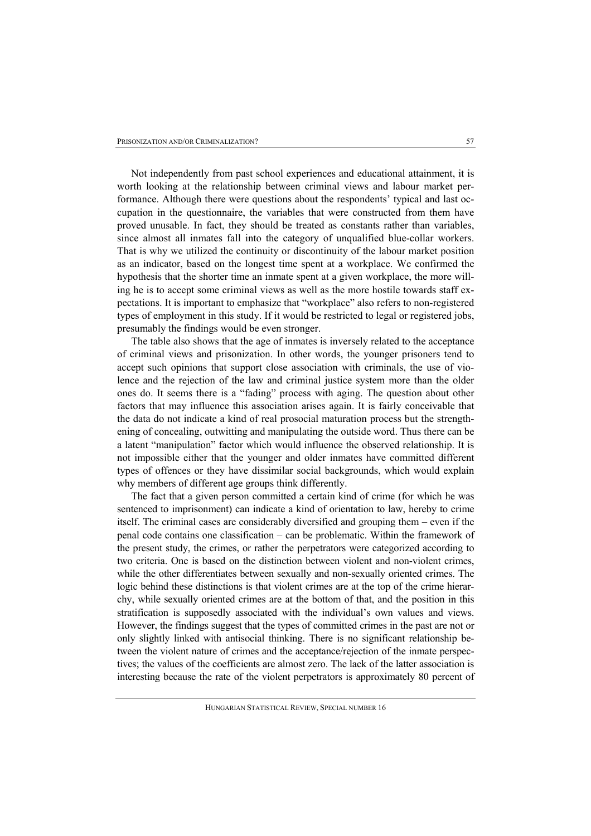Not independently from past school experiences and educational attainment, it is worth looking at the relationship between criminal views and labour market performance. Although there were questions about the respondents' typical and last occupation in the questionnaire, the variables that were constructed from them have proved unusable. In fact, they should be treated as constants rather than variables, since almost all inmates fall into the category of unqualified blue-collar workers. That is why we utilized the continuity or discontinuity of the labour market position as an indicator, based on the longest time spent at a workplace. We confirmed the hypothesis that the shorter time an inmate spent at a given workplace, the more willing he is to accept some criminal views as well as the more hostile towards staff expectations. It is important to emphasize that "workplace" also refers to non-registered types of employment in this study. If it would be restricted to legal or registered jobs, presumably the findings would be even stronger.

The table also shows that the age of inmates is inversely related to the acceptance of criminal views and prisonization. In other words, the younger prisoners tend to accept such opinions that support close association with criminals, the use of violence and the rejection of the law and criminal justice system more than the older ones do. It seems there is a "fading" process with aging. The question about other factors that may influence this association arises again. It is fairly conceivable that the data do not indicate a kind of real prosocial maturation process but the strengthening of concealing, outwitting and manipulating the outside word. Thus there can be a latent "manipulation" factor which would influence the observed relationship. It is not impossible either that the younger and older inmates have committed different types of offences or they have dissimilar social backgrounds, which would explain why members of different age groups think differently.

The fact that a given person committed a certain kind of crime (for which he was sentenced to imprisonment) can indicate a kind of orientation to law, hereby to crime itself. The criminal cases are considerably diversified and grouping them – even if the penal code contains one classification – can be problematic. Within the framework of the present study, the crimes, or rather the perpetrators were categorized according to two criteria. One is based on the distinction between violent and non-violent crimes, while the other differentiates between sexually and non-sexually oriented crimes. The logic behind these distinctions is that violent crimes are at the top of the crime hierarchy, while sexually oriented crimes are at the bottom of that, and the position in this stratification is supposedly associated with the individual's own values and views. However, the findings suggest that the types of committed crimes in the past are not or only slightly linked with antisocial thinking. There is no significant relationship between the violent nature of crimes and the acceptance/rejection of the inmate perspectives; the values of the coefficients are almost zero. The lack of the latter association is interesting because the rate of the violent perpetrators is approximately 80 percent of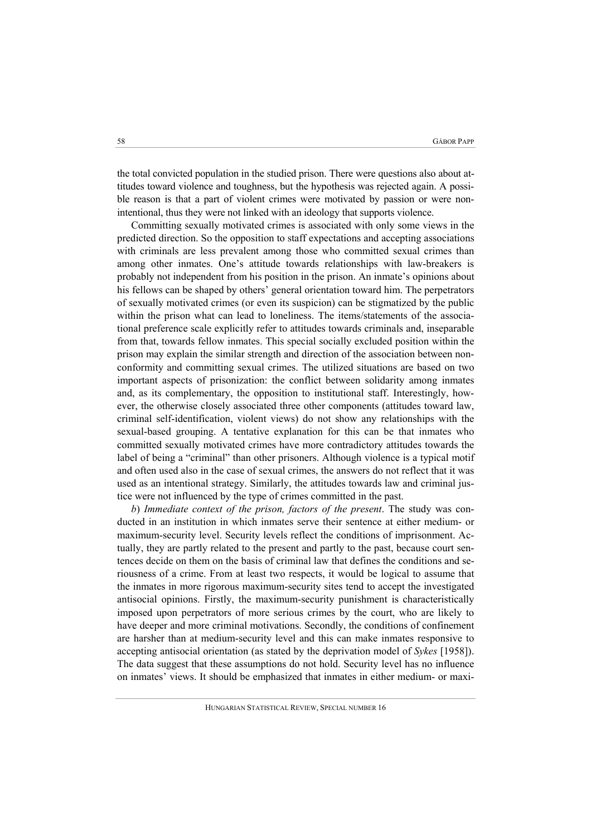the total convicted population in the studied prison. There were questions also about attitudes toward violence and toughness, but the hypothesis was rejected again. A possible reason is that a part of violent crimes were motivated by passion or were nonintentional, thus they were not linked with an ideology that supports violence.

Committing sexually motivated crimes is associated with only some views in the predicted direction. So the opposition to staff expectations and accepting associations with criminals are less prevalent among those who committed sexual crimes than among other inmates. One's attitude towards relationships with law-breakers is probably not independent from his position in the prison. An inmate's opinions about his fellows can be shaped by others' general orientation toward him. The perpetrators of sexually motivated crimes (or even its suspicion) can be stigmatized by the public within the prison what can lead to loneliness. The items/statements of the associational preference scale explicitly refer to attitudes towards criminals and, inseparable from that, towards fellow inmates. This special socially excluded position within the prison may explain the similar strength and direction of the association between nonconformity and committing sexual crimes. The utilized situations are based on two important aspects of prisonization: the conflict between solidarity among inmates and, as its complementary, the opposition to institutional staff. Interestingly, however, the otherwise closely associated three other components (attitudes toward law, criminal self-identification, violent views) do not show any relationships with the sexual-based grouping. A tentative explanation for this can be that inmates who committed sexually motivated crimes have more contradictory attitudes towards the label of being a "criminal" than other prisoners. Although violence is a typical motif and often used also in the case of sexual crimes, the answers do not reflect that it was used as an intentional strategy. Similarly, the attitudes towards law and criminal justice were not influenced by the type of crimes committed in the past.

*b*) *Immediate context of the prison, factors of the present*. The study was conducted in an institution in which inmates serve their sentence at either medium- or maximum-security level. Security levels reflect the conditions of imprisonment. Actually, they are partly related to the present and partly to the past, because court sentences decide on them on the basis of criminal law that defines the conditions and seriousness of a crime. From at least two respects, it would be logical to assume that the inmates in more rigorous maximum-security sites tend to accept the investigated antisocial opinions. Firstly, the maximum-security punishment is characteristically imposed upon perpetrators of more serious crimes by the court, who are likely to have deeper and more criminal motivations. Secondly, the conditions of confinement are harsher than at medium-security level and this can make inmates responsive to accepting antisocial orientation (as stated by the deprivation model of *Sykes* [1958]). The data suggest that these assumptions do not hold. Security level has no influence on inmates' views. It should be emphasized that inmates in either medium- or maxi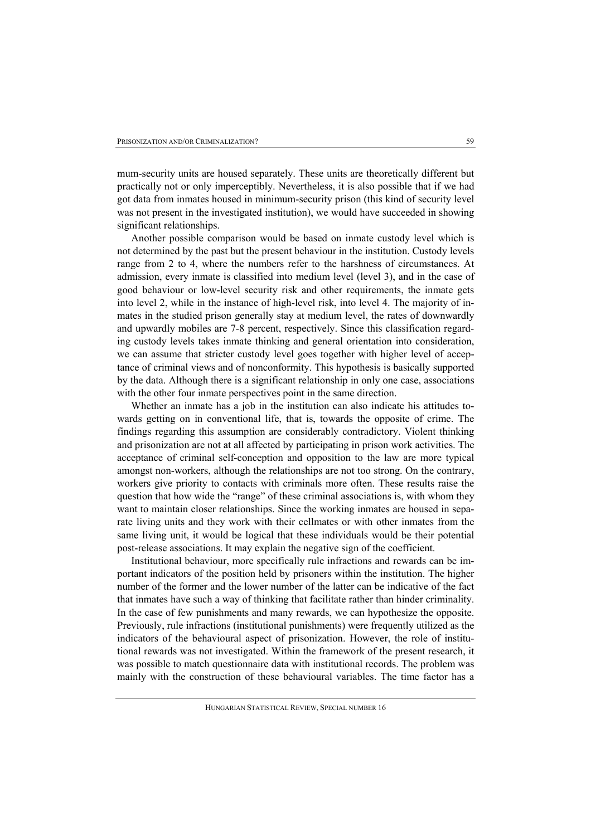mum-security units are housed separately. These units are theoretically different but practically not or only imperceptibly. Nevertheless, it is also possible that if we had got data from inmates housed in minimum-security prison (this kind of security level was not present in the investigated institution), we would have succeeded in showing significant relationships.

Another possible comparison would be based on inmate custody level which is not determined by the past but the present behaviour in the institution. Custody levels range from 2 to 4, where the numbers refer to the harshness of circumstances. At admission, every inmate is classified into medium level (level 3), and in the case of good behaviour or low-level security risk and other requirements, the inmate gets into level 2, while in the instance of high-level risk, into level 4. The majority of inmates in the studied prison generally stay at medium level, the rates of downwardly and upwardly mobiles are 7-8 percent, respectively. Since this classification regarding custody levels takes inmate thinking and general orientation into consideration, we can assume that stricter custody level goes together with higher level of acceptance of criminal views and of nonconformity. This hypothesis is basically supported by the data. Although there is a significant relationship in only one case, associations with the other four inmate perspectives point in the same direction.

Whether an inmate has a job in the institution can also indicate his attitudes towards getting on in conventional life, that is, towards the opposite of crime. The findings regarding this assumption are considerably contradictory. Violent thinking and prisonization are not at all affected by participating in prison work activities. The acceptance of criminal self-conception and opposition to the law are more typical amongst non-workers, although the relationships are not too strong. On the contrary, workers give priority to contacts with criminals more often. These results raise the question that how wide the "range" of these criminal associations is, with whom they want to maintain closer relationships. Since the working inmates are housed in separate living units and they work with their cellmates or with other inmates from the same living unit, it would be logical that these individuals would be their potential post-release associations. It may explain the negative sign of the coefficient.

Institutional behaviour, more specifically rule infractions and rewards can be important indicators of the position held by prisoners within the institution. The higher number of the former and the lower number of the latter can be indicative of the fact that inmates have such a way of thinking that facilitate rather than hinder criminality. In the case of few punishments and many rewards, we can hypothesize the opposite. Previously, rule infractions (institutional punishments) were frequently utilized as the indicators of the behavioural aspect of prisonization. However, the role of institutional rewards was not investigated. Within the framework of the present research, it was possible to match questionnaire data with institutional records. The problem was mainly with the construction of these behavioural variables. The time factor has a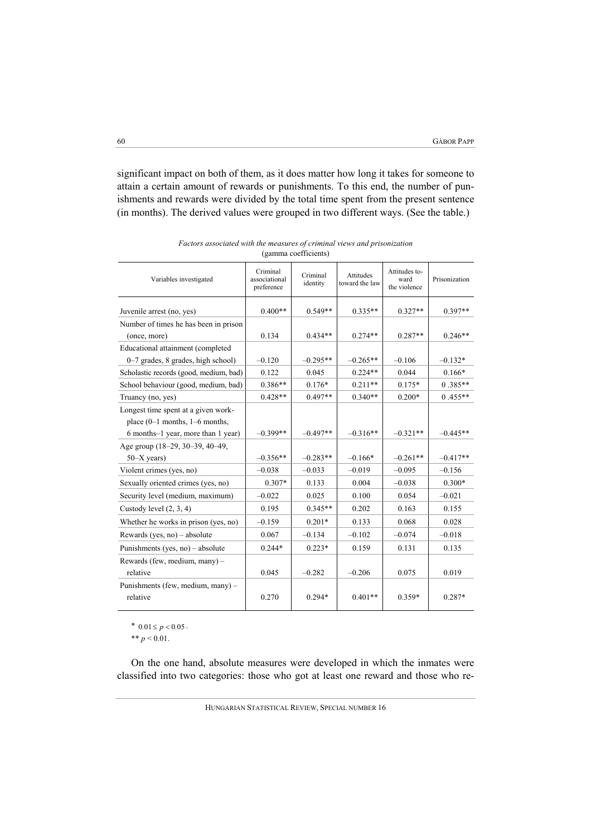significant impact on both of them, as it does matter how long it takes for someone to attain a certain amount of rewards or punishments. To this end, the number of punishments and rewards were divided by the total time spent from the present sentence (in months). The derived values were grouped in two different ways. (See the table.)

| Variables investigated                        | Criminal<br>associational<br>preference | Criminal<br>identity | Attitudes<br>toward the law | Attitudes to-<br>ward<br>the violence | Prisonization |
|-----------------------------------------------|-----------------------------------------|----------------------|-----------------------------|---------------------------------------|---------------|
| Juvenile arrest (no, yes)                     | $0.400**$                               | $0.549**$            | $0.335**$                   | $0.327**$                             | $0.397**$     |
| Number of times he has been in prison         |                                         |                      |                             |                                       |               |
| (once, more)                                  | 0.134                                   | $0.434**$            | $0.274**$                   | $0.287**$                             | $0.246**$     |
| Educational attainment (completed             |                                         |                      |                             |                                       |               |
| 0–7 grades, 8 grades, high school)            | $-0.120$                                | $-0.295**$           | $-0.265**$                  | $-0.106$                              | $-0.132*$     |
| Scholastic records (good, medium, bad)        | 0.122                                   | 0.045                | $0.224**$                   | 0.044                                 | $0.166*$      |
| School behaviour (good, medium, bad)          | $0.386**$                               | $0.176*$             | $0.211**$                   | $0.175*$                              | $0.385**$     |
| Truancy (no, yes)                             | $0.428**$                               | $0.497**$            | $0.340**$                   | $0.200*$                              | $0.455**$     |
| Longest time spent at a given work-           |                                         |                      |                             |                                       |               |
| place $(0-1$ months, $1-6$ months,            |                                         |                      |                             |                                       |               |
| 6 months-1 year, more than 1 year)            | $-0.399**$                              | $-0.497**$           | $-0.316**$                  | $-0.321**$                            | $-0.445**$    |
| Age group (18–29, 30–39, 40–49,               |                                         |                      |                             |                                       |               |
| $50-X$ years)                                 | $-0.356**$                              | $-0.283**$           | $-0.166*$                   | $-0.261**$                            | $-0.417**$    |
| Violent crimes (yes, no)                      | $-0.038$                                | $-0.033$             | $-0.019$                    | $-0.095$                              | $-0.156$      |
| Sexually oriented crimes (yes, no)            | $0.307*$                                | 0.133                | 0.004                       | $-0.038$                              | $0.300*$      |
| Security level (medium, maximum)              | $-0.022$                                | 0.025                | 0.100                       | 0.054                                 | $-0.021$      |
| Custody level $(2, 3, 4)$                     | 0.195                                   | $0.345**$            | 0.202                       | 0.163                                 | 0.155         |
| Whether he works in prison (yes, no)          | $-0.159$                                | $0.201*$             | 0.133                       | 0.068                                 | 0.028         |
| Rewards (yes, no) $-$ absolute                | 0.067                                   | $-0.134$             | $-0.102$                    | $-0.074$                              | $-0.018$      |
| Punishments (yes, no) – absolute              | $0.244*$                                | $0.223*$             | 0.159                       | 0.131                                 | 0.135         |
| Rewards (few, medium, many) -                 |                                         |                      |                             |                                       |               |
| relative                                      | 0.045                                   | $-0.282$             | $-0.206$                    | 0.075                                 | 0.019         |
| Punishments (few, medium, many) -<br>relative | 0.270                                   | $0.294*$             | $0.401**$                   | $0.359*$                              | $0.287*$      |

*Factors associated with the measures of criminal views and prisonization*  (gamma coefficients)

\*  $0.01 \le p < 0.05$ .

\*\*  $p < 0.01$ .

On the one hand, absolute measures were developed in which the inmates were classified into two categories: those who got at least one reward and those who re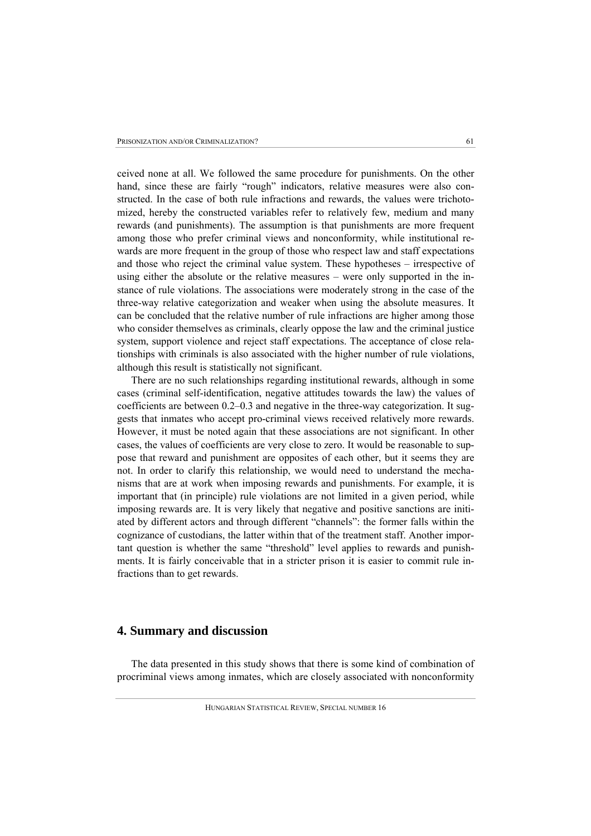ceived none at all. We followed the same procedure for punishments. On the other hand, since these are fairly "rough" indicators, relative measures were also constructed. In the case of both rule infractions and rewards, the values were trichotomized, hereby the constructed variables refer to relatively few, medium and many rewards (and punishments). The assumption is that punishments are more frequent among those who prefer criminal views and nonconformity, while institutional rewards are more frequent in the group of those who respect law and staff expectations and those who reject the criminal value system. These hypotheses – irrespective of using either the absolute or the relative measures – were only supported in the instance of rule violations. The associations were moderately strong in the case of the three-way relative categorization and weaker when using the absolute measures. It can be concluded that the relative number of rule infractions are higher among those who consider themselves as criminals, clearly oppose the law and the criminal justice system, support violence and reject staff expectations. The acceptance of close relationships with criminals is also associated with the higher number of rule violations, although this result is statistically not significant.

There are no such relationships regarding institutional rewards, although in some cases (criminal self-identification, negative attitudes towards the law) the values of coefficients are between 0.2–0.3 and negative in the three-way categorization. It suggests that inmates who accept pro-criminal views received relatively more rewards. However, it must be noted again that these associations are not significant. In other cases, the values of coefficients are very close to zero. It would be reasonable to suppose that reward and punishment are opposites of each other, but it seems they are not. In order to clarify this relationship, we would need to understand the mechanisms that are at work when imposing rewards and punishments. For example, it is important that (in principle) rule violations are not limited in a given period, while imposing rewards are. It is very likely that negative and positive sanctions are initiated by different actors and through different "channels": the former falls within the cognizance of custodians, the latter within that of the treatment staff. Another important question is whether the same "threshold" level applies to rewards and punishments. It is fairly conceivable that in a stricter prison it is easier to commit rule infractions than to get rewards.

### **4. Summary and discussion**

The data presented in this study shows that there is some kind of combination of procriminal views among inmates, which are closely associated with nonconformity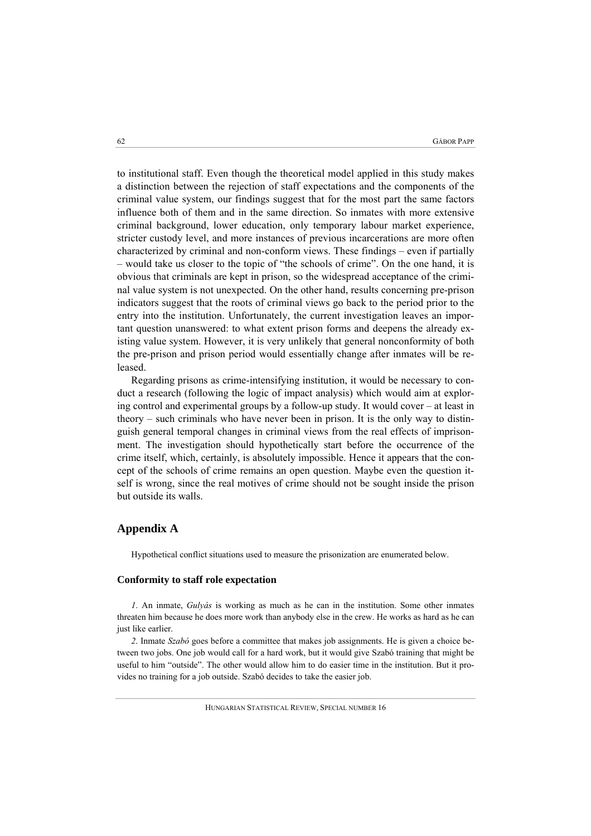to institutional staff. Even though the theoretical model applied in this study makes a distinction between the rejection of staff expectations and the components of the criminal value system, our findings suggest that for the most part the same factors influence both of them and in the same direction. So inmates with more extensive criminal background, lower education, only temporary labour market experience, stricter custody level, and more instances of previous incarcerations are more often characterized by criminal and non-conform views. These findings – even if partially – would take us closer to the topic of "the schools of crime". On the one hand, it is obvious that criminals are kept in prison, so the widespread acceptance of the criminal value system is not unexpected. On the other hand, results concerning pre-prison indicators suggest that the roots of criminal views go back to the period prior to the entry into the institution. Unfortunately, the current investigation leaves an important question unanswered: to what extent prison forms and deepens the already existing value system. However, it is very unlikely that general nonconformity of both the pre-prison and prison period would essentially change after inmates will be released.

Regarding prisons as crime-intensifying institution, it would be necessary to conduct a research (following the logic of impact analysis) which would aim at exploring control and experimental groups by a follow-up study. It would cover – at least in theory – such criminals who have never been in prison. It is the only way to distinguish general temporal changes in criminal views from the real effects of imprisonment. The investigation should hypothetically start before the occurrence of the crime itself, which, certainly, is absolutely impossible. Hence it appears that the concept of the schools of crime remains an open question. Maybe even the question itself is wrong, since the real motives of crime should not be sought inside the prison but outside its walls.

### **Appendix A**

Hypothetical conflict situations used to measure the prisonization are enumerated below.

### **Conformity to staff role expectation**

*1*. An inmate, *Gulyás* is working as much as he can in the institution. Some other inmates threaten him because he does more work than anybody else in the crew. He works as hard as he can just like earlier.

*2*. Inmate *Szabó* goes before a committee that makes job assignments. He is given a choice between two jobs. One job would call for a hard work, but it would give Szabó training that might be useful to him "outside". The other would allow him to do easier time in the institution. But it provides no training for a job outside. Szabó decides to take the easier job.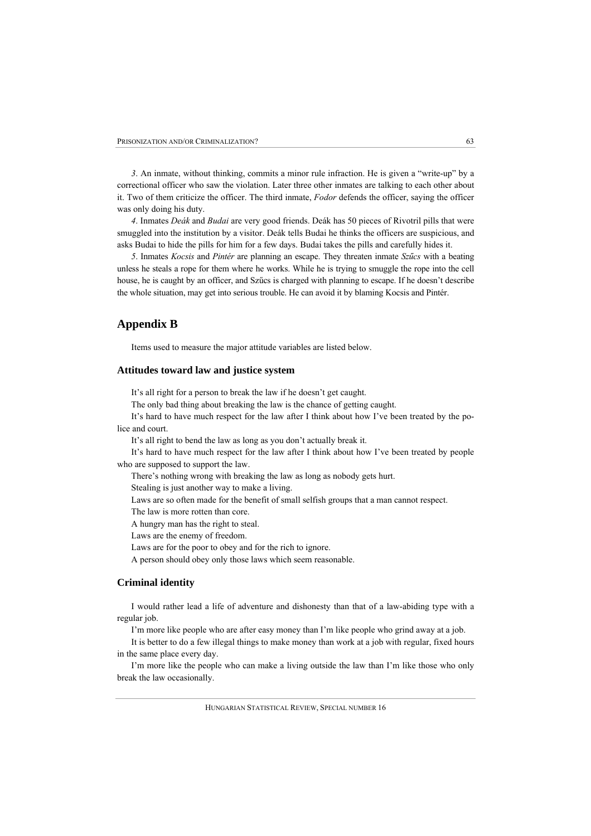*3*. An inmate, without thinking, commits a minor rule infraction. He is given a "write-up" by a correctional officer who saw the violation. Later three other inmates are talking to each other about it. Two of them criticize the officer. The third inmate, *Fodor* defends the officer, saying the officer was only doing his duty.

*4*. Inmates *Deák* and *Budai* are very good friends. Deák has 50 pieces of Rivotril pills that were smuggled into the institution by a visitor. Deák tells Budai he thinks the officers are suspicious, and asks Budai to hide the pills for him for a few days. Budai takes the pills and carefully hides it.

*5*. Inmates *Kocsis* and *Pintér* are planning an escape. They threaten inmate *Szűcs* with a beating unless he steals a rope for them where he works. While he is trying to smuggle the rope into the cell house, he is caught by an officer, and Szűcs is charged with planning to escape. If he doesn't describe the whole situation, may get into serious trouble. He can avoid it by blaming Kocsis and Pintér.

## **Appendix B**

Items used to measure the major attitude variables are listed below.

#### **Attitudes toward law and justice system**

It's all right for a person to break the law if he doesn't get caught.

The only bad thing about breaking the law is the chance of getting caught.

It's hard to have much respect for the law after I think about how I've been treated by the police and court.

It's all right to bend the law as long as you don't actually break it.

It's hard to have much respect for the law after I think about how I've been treated by people who are supposed to support the law.

There's nothing wrong with breaking the law as long as nobody gets hurt.

Stealing is just another way to make a living.

Laws are so often made for the benefit of small selfish groups that a man cannot respect.

The law is more rotten than core.

A hungry man has the right to steal.

Laws are the enemy of freedom.

Laws are for the poor to obey and for the rich to ignore.

A person should obey only those laws which seem reasonable.

## **Criminal identity**

I would rather lead a life of adventure and dishonesty than that of a law-abiding type with a regular job.

I'm more like people who are after easy money than I'm like people who grind away at a job.

It is better to do a few illegal things to make money than work at a job with regular, fixed hours in the same place every day.

I'm more like the people who can make a living outside the law than I'm like those who only break the law occasionally.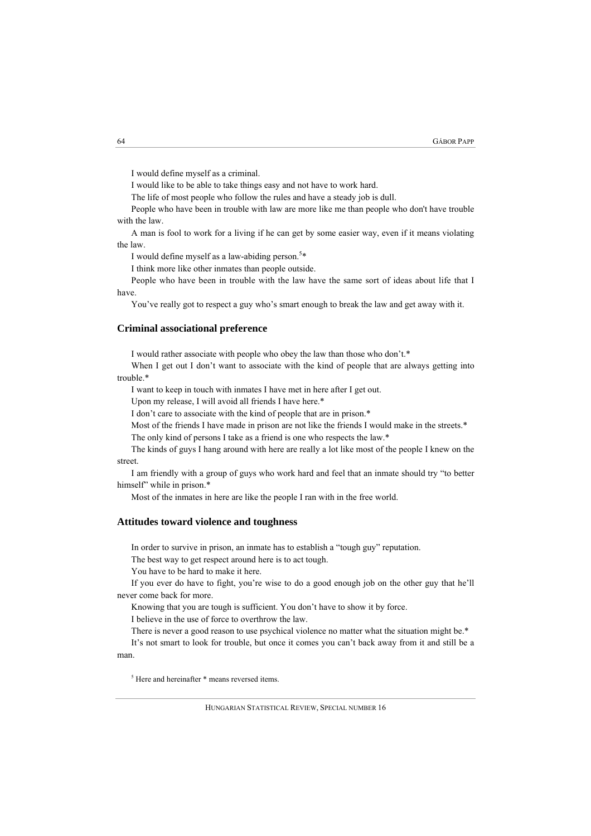I would define myself as a criminal.

I would like to be able to take things easy and not have to work hard.

The life of most people who follow the rules and have a steady job is dull.

People who have been in trouble with law are more like me than people who don't have trouble with the law.

A man is fool to work for a living if he can get by some easier way, even if it means violating the law.

I would define myself as a law-abiding person.<sup>5\*</sup>

I think more like other inmates than people outside.

People who have been in trouble with the law have the same sort of ideas about life that I have.

You've really got to respect a guy who's smart enough to break the law and get away with it.

#### **Criminal associational preference**

I would rather associate with people who obey the law than those who don't.\*

When I get out I don't want to associate with the kind of people that are always getting into trouble.\*

I want to keep in touch with inmates I have met in here after I get out.

Upon my release, I will avoid all friends I have here.\*

I don't care to associate with the kind of people that are in prison.\*

Most of the friends I have made in prison are not like the friends I would make in the streets.\*

The only kind of persons I take as a friend is one who respects the law.\*

The kinds of guys I hang around with here are really a lot like most of the people I knew on the street.

I am friendly with a group of guys who work hard and feel that an inmate should try "to better himself" while in prison.\*

Most of the inmates in here are like the people I ran with in the free world.

#### **Attitudes toward violence and toughness**

In order to survive in prison, an inmate has to establish a "tough guy" reputation.

The best way to get respect around here is to act tough.

You have to be hard to make it here.

If you ever do have to fight, you're wise to do a good enough job on the other guy that he'll never come back for more.

Knowing that you are tough is sufficient. You don't have to show it by force.

I believe in the use of force to overthrow the law.

There is never a good reason to use psychical violence no matter what the situation might be.\* It's not smart to look for trouble, but once it comes you can't back away from it and still be a

man.

5 Here and hereinafter \* means reversed items.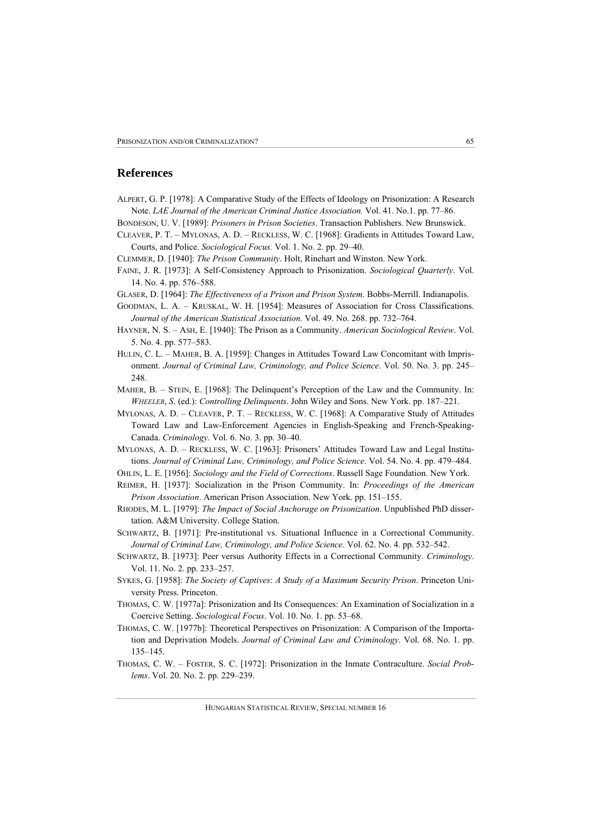### **References**

- ALPERT, G. P. [1978]: A Comparative Study of the Effects of Ideology on Prisonization: A Research Note. *LAE Journal of the American Criminal Justice Association.* Vol. 41. No.1. pp. 77–86.
- BONDESON, U. V. [1989]: *Prisoners in Prison Societies*. Transaction Publishers. New Brunswick.
- CLEAVER, P. T. MYLONAS, A. D. RECKLESS, W. C. [1968]: Gradients in Attitudes Toward Law, Courts, and Police. *Sociological Focus.* Vol. 1. No. 2. pp. 29–40.
- CLEMMER, D. [1940]: *The Prison Community*. Holt, Rinehart and Winston. New York.
- FAINE, J. R. [1973]: A Self-Consistency Approach to Prisonization. *Sociological Quarterly*. Vol. 14. No. 4. pp. 576–588.
- GLASER, D. [1964]: *The Effectiveness of a Prison and Prison System*. Bobbs-Merrill. Indianapolis.
- GOODMAN, L. A. KRUSKAL, W. H. [1954]: Measures of Association for Cross Classifications. *Journal of the American Statistical Association.* Vol. 49. No. 268. pp. 732–764.
- HAYNER, N. S. ASH, E. [1940]: The Prison as a Community. *American Sociological Review*. Vol. 5. No. 4. pp. 577–583.
- HULIN, C. L. MAHER, B. A. [1959]: Changes in Attitudes Toward Law Concomitant with Imprisonment. *Journal of Criminal Law, Criminology, and Police Science*. Vol. 50. No. 3. pp. 245– 248.
- MAHER, B. STEIN, E. [1968]: The Delinquent's Perception of the Law and the Community. In: *WHEELER*, *S*. (ed.): *Controlling Delinquents*. John Wiley and Sons. New York. pp. 187–221.
- MYLONAS, A. D. CLEAVER, P. T. RECKLESS, W. C. [1968]: A Comparative Study of Attitudes Toward Law and Law-Enforcement Agencies in English-Speaking and French-Speaking-Canada. *Criminology*. Vol. 6. No. 3. pp. 30–40.
- MYLONAS, A. D. RECKLESS, W. C. [1963]: Prisoners' Attitudes Toward Law and Legal Institutions. *Journal of Criminal Law, Criminology, and Police Science*. Vol. 54. No. 4. pp. 479–484.
- OHLIN, L. E. [1956]: *Sociology and the Field of Corrections*. Russell Sage Foundation. New York.
- REIMER, H. [1937]: Socialization in the Prison Community. In: *Proceedings of the American Prison Association*. American Prison Association. New York. pp. 151–155.
- RHODES, M. L. [1979]: *The Impact of Social Anchorage on Prisonization*. Unpublished PhD dissertation. A&M University. College Station.
- SCHWARTZ, B. [1971]: Pre-institutional vs. Situational Influence in a Correctional Community. *Journal of Criminal Law, Criminology, and Police Science*. Vol. 62. No. 4. pp. 532–542.
- SCHWARTZ, B. [1973]: Peer versus Authority Effects in a Correctional Community. *Criminology*. Vol. 11. No. 2. pp. 233–257.
- SYKES, G. [1958]: *The Society of Captives*: *A Study of a Maximum Security Prison*. Princeton University Press. Princeton.
- THOMAS, C. W. [1977a]: Prisonization and Its Consequences: An Examination of Socialization in a Coercive Setting. *Sociological Focus*. Vol. 10. No. 1. pp. 53–68.
- THOMAS, C. W. [1977b]: Theoretical Perspectives on Prisonization: A Comparison of the Importation and Deprivation Models. *Journal of Criminal Law and Criminology*. Vol. 68. No. 1. pp. 135–145.
- THOMAS, C. W. FOSTER, S. C. [1972]: Prisonization in the Inmate Contraculture. *Social Problems*. Vol. 20. No. 2. pp. 229–239.